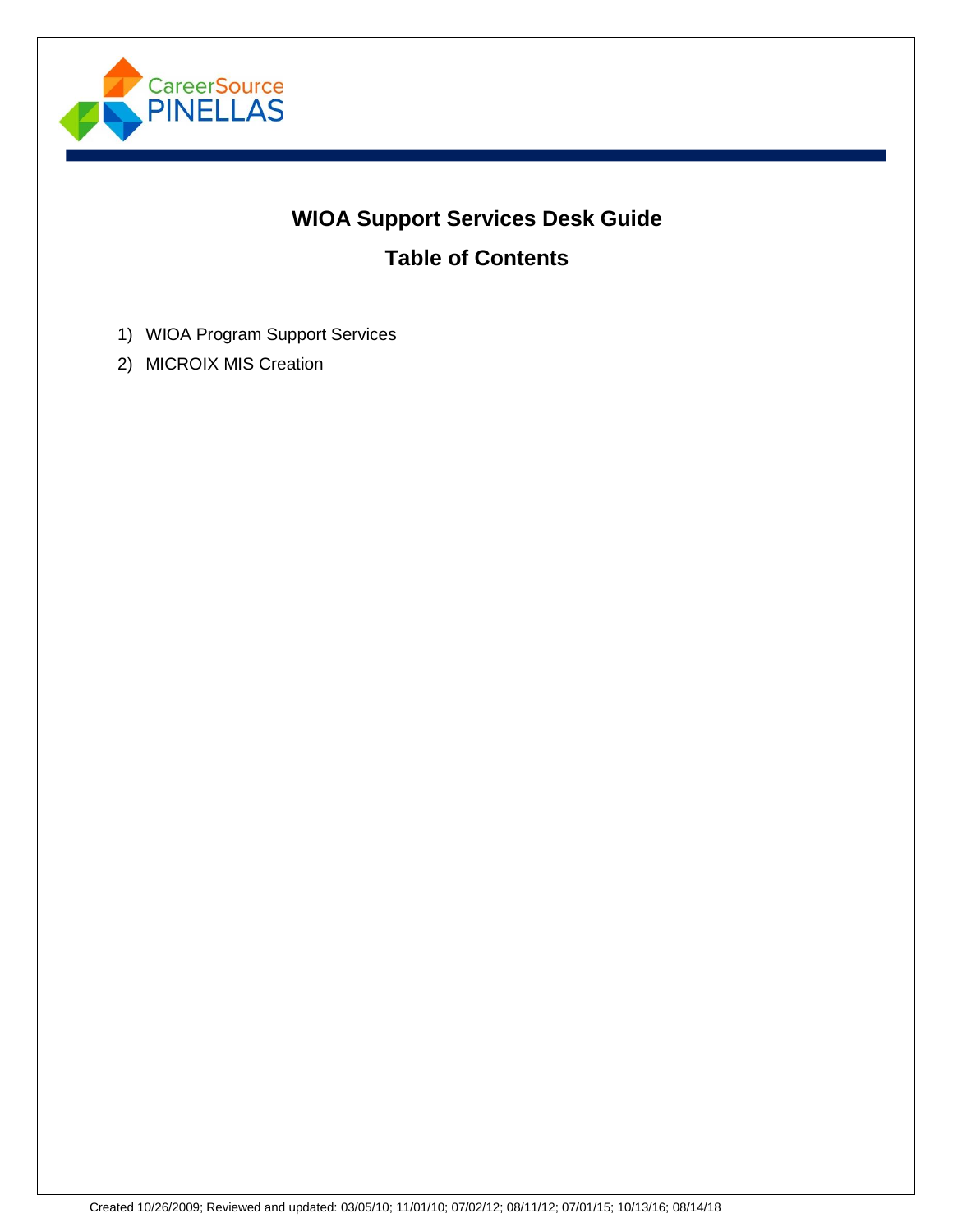

# **WIOA Support Services Desk Guide Table of Contents**

- 1) WIOA Program Support Services
- 2) MICROIX MIS Creation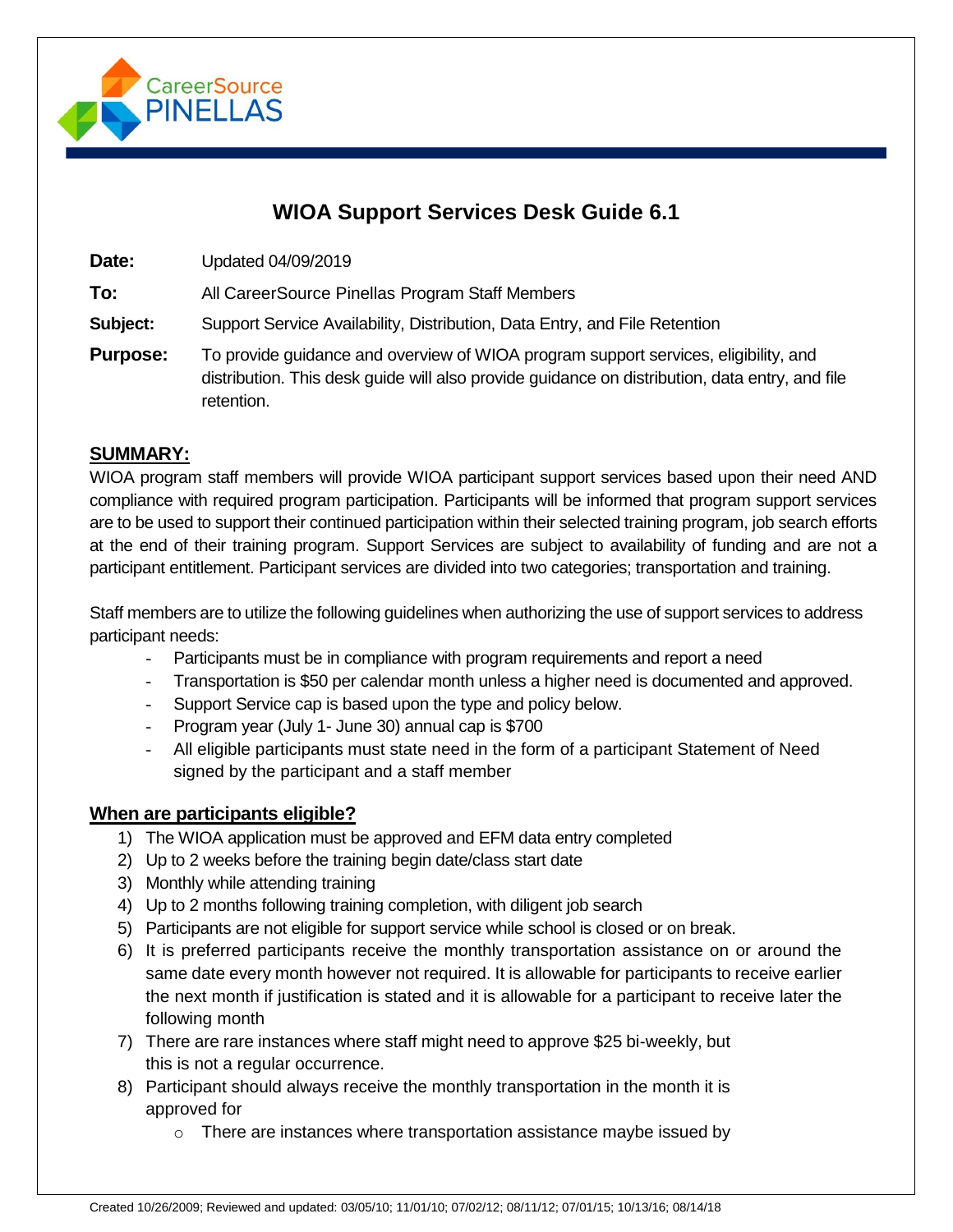

## **WIOA Support Services Desk Guide 6.1**

**Date:** Updated 04/09/2019

**To:** All CareerSource Pinellas Program Staff Members

**Subject:** Support Service Availability, Distribution, Data Entry, and File Retention

**Purpose:** To provide guidance and overview of WIOA program support services, eligibility, and distribution. This desk guide will also provide guidance on distribution, data entry, and file retention.

#### **SUMMARY:**

WIOA program staff members will provide WIOA participant support services based upon their need AND compliance with required program participation. Participants will be informed that program support services are to be used to support their continued participation within their selected training program, job search efforts at the end of their training program. Support Services are subject to availability of funding and are not a participant entitlement. Participant services are divided into two categories; transportation and training.

Staff members are to utilize the following guidelines when authorizing the use of support services to address participant needs:

- Participants must be in compliance with program requirements and report a need
- Transportation is \$50 per calendar month unless a higher need is documented and approved.
- Support Service cap is based upon the type and policy below.
- Program year (July 1- June 30) annual cap is \$700
- All eligible participants must state need in the form of a participant Statement of Need signed by the participant and a staff member

#### **When are participants eligible?**

- 1) The WIOA application must be approved and EFM data entry completed
- 2) Up to 2 weeks before the training begin date/class start date
- 3) Monthly while attending training
- 4) Up to 2 months following training completion, with diligent job search
- 5) Participants are not eligible for support service while school is closed or on break.
- 6) It is preferred participants receive the monthly transportation assistance on or around the same date every month however not required. It is allowable for participants to receive earlier the next month if justification is stated and it is allowable for a participant to receive later the following month
- 7) There are rare instances where staff might need to approve \$25 bi-weekly, but this is not a regular occurrence.
- 8) Participant should always receive the monthly transportation in the month it is approved for
	- o There are instances where transportation assistance maybe issued by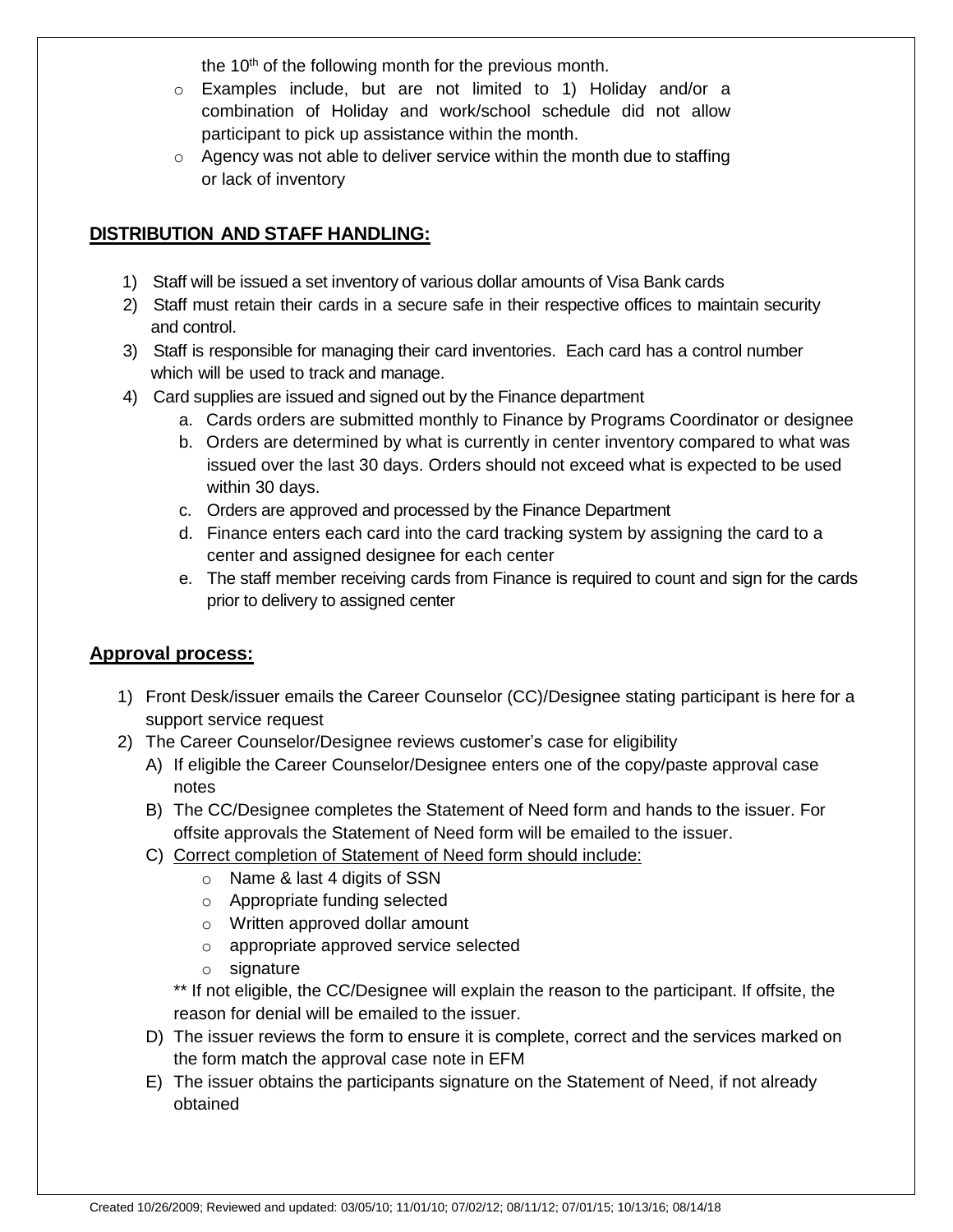the  $10<sup>th</sup>$  of the following month for the previous month.

- o Examples include, but are not limited to 1) Holiday and/or a combination of Holiday and work/school schedule did not allow participant to pick up assistance within the month.
- $\circ$  Agency was not able to deliver service within the month due to staffing or lack of inventory

#### **DISTRIBUTION AND STAFF HANDLING:**

- 1) Staff will be issued a set inventory of various dollar amounts of Visa Bank cards
- 2) Staff must retain their cards in a secure safe in their respective offices to maintain security and control.
- 3) Staff is responsible for managing their card inventories. Each card has a control number which will be used to track and manage.
- 4) Card supplies are issued and signed out by the Finance department
	- a. Cards orders are submitted monthly to Finance by Programs Coordinator or designee
	- b. Orders are determined by what is currently in center inventory compared to what was issued over the last 30 days. Orders should not exceed what is expected to be used within 30 days.
	- c. Orders are approved and processed by the Finance Department
	- d. Finance enters each card into the card tracking system by assigning the card to a center and assigned designee for each center
	- e. The staff member receiving cards from Finance is required to count and sign for the cards prior to delivery to assigned center

#### **Approval process:**

- 1) Front Desk/issuer emails the Career Counselor (CC)/Designee stating participant is here for a support service request
- 2) The Career Counselor/Designee reviews customer's case for eligibility
	- A) If eligible the Career Counselor/Designee enters one of the copy/paste approval case notes
	- B) The CC/Designee completes the Statement of Need form and hands to the issuer. For offsite approvals the Statement of Need form will be emailed to the issuer.
	- C) Correct completion of Statement of Need form should include:
		- o Name & last 4 digits of SSN
		- o Appropriate funding selected
		- o Written approved dollar amount
		- o appropriate approved service selected
		- o signature

\*\* If not eligible, the CC/Designee will explain the reason to the participant. If offsite, the reason for denial will be emailed to the issuer.

- D) The issuer reviews the form to ensure it is complete, correct and the services marked on the form match the approval case note in EFM
- E) The issuer obtains the participants signature on the Statement of Need, if not already obtained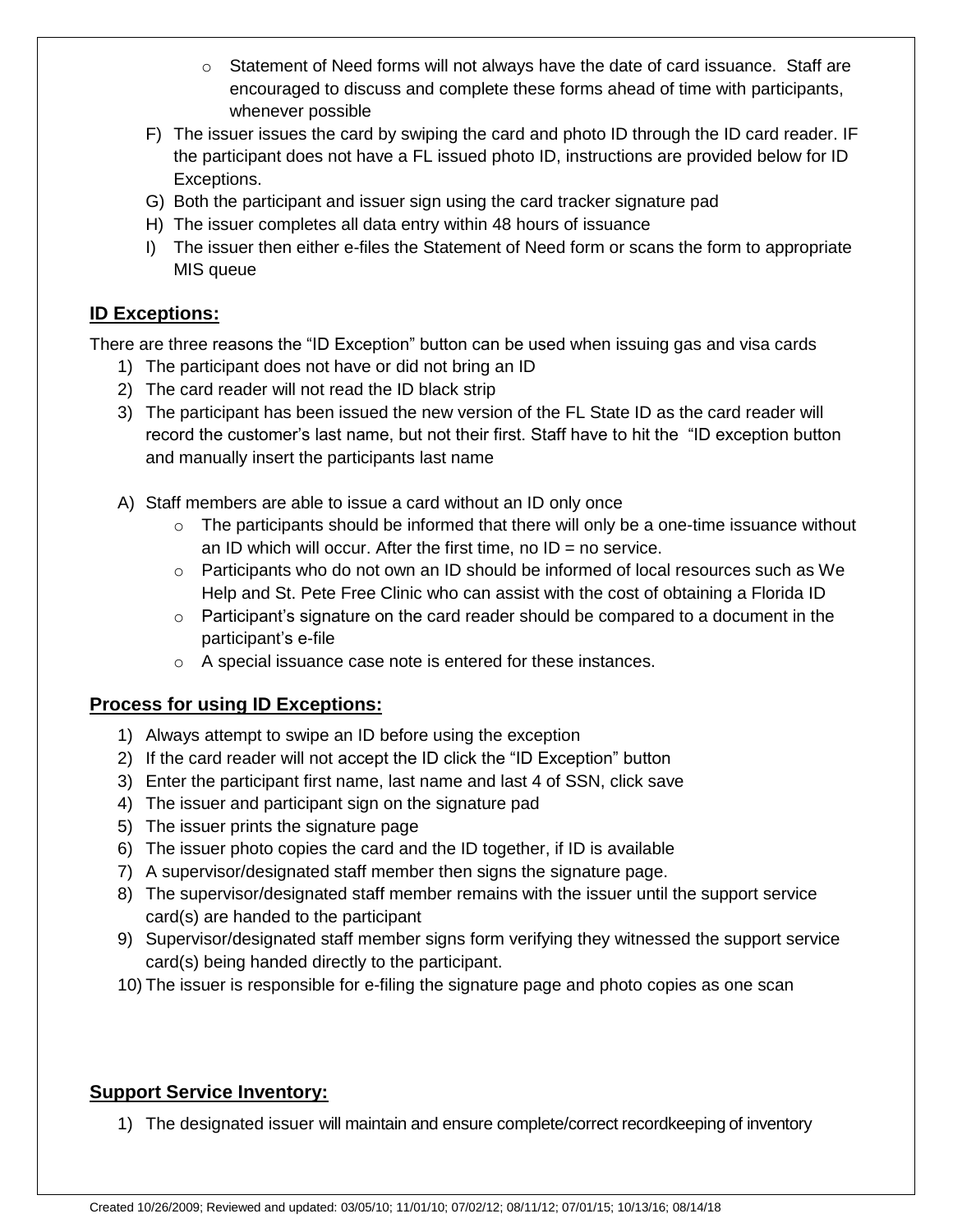- $\circ$  Statement of Need forms will not always have the date of card issuance. Staff are encouraged to discuss and complete these forms ahead of time with participants, whenever possible
- F) The issuer issues the card by swiping the card and photo ID through the ID card reader. IF the participant does not have a FL issued photo ID, instructions are provided below for ID Exceptions.
- G) Both the participant and issuer sign using the card tracker signature pad
- H) The issuer completes all data entry within 48 hours of issuance
- I) The issuer then either e-files the Statement of Need form or scans the form to appropriate MIS queue

## **ID Exceptions:**

There are three reasons the "ID Exception" button can be used when issuing gas and visa cards

- 1) The participant does not have or did not bring an ID
- 2) The card reader will not read the ID black strip
- 3) The participant has been issued the new version of the FL State ID as the card reader will record the customer's last name, but not their first. Staff have to hit the "ID exception button and manually insert the participants last name
- A) Staff members are able to issue a card without an ID only once
	- $\circ$  The participants should be informed that there will only be a one-time issuance without an ID which will occur. After the first time, no  $ID = no$  service.
	- $\circ$  Participants who do not own an ID should be informed of local resources such as We Help and St. Pete Free Clinic who can assist with the cost of obtaining a Florida ID
	- o Participant's signature on the card reader should be compared to a document in the participant's e-file
	- o A special issuance case note is entered for these instances.

## **Process for using ID Exceptions:**

- 1) Always attempt to swipe an ID before using the exception
- 2) If the card reader will not accept the ID click the "ID Exception" button
- 3) Enter the participant first name, last name and last 4 of SSN, click save
- 4) The issuer and participant sign on the signature pad
- 5) The issuer prints the signature page
- 6) The issuer photo copies the card and the ID together, if ID is available
- 7) A supervisor/designated staff member then signs the signature page.
- 8) The supervisor/designated staff member remains with the issuer until the support service card(s) are handed to the participant
- 9) Supervisor/designated staff member signs form verifying they witnessed the support service card(s) being handed directly to the participant.
- 10) The issuer is responsible for e-filing the signature page and photo copies as one scan

### **Support Service Inventory:**

1) The designated issuer will maintain and ensure complete/correct recordkeeping of inventory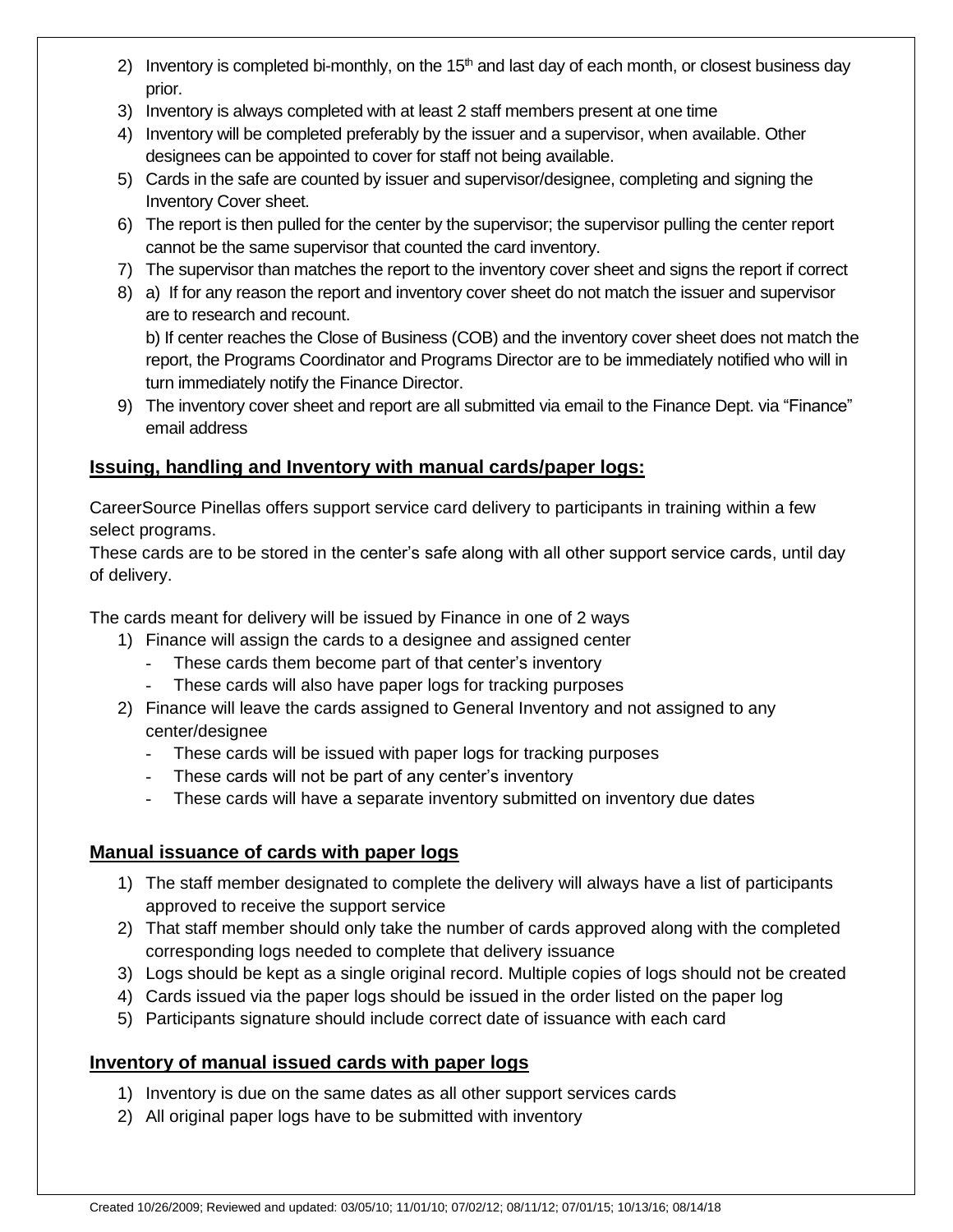- 2) Inventory is completed bi-monthly, on the  $15<sup>th</sup>$  and last day of each month, or closest business day prior.
- 3) Inventory is always completed with at least 2 staff members present at one time
- 4) Inventory will be completed preferably by the issuer and a supervisor, when available. Other designees can be appointed to cover for staff not being available.
- 5) Cards in the safe are counted by issuer and supervisor/designee, completing and signing the Inventory Cover sheet.
- 6) The report is then pulled for the center by the supervisor; the supervisor pulling the center report cannot be the same supervisor that counted the card inventory.
- 7) The supervisor than matches the report to the inventory cover sheet and signs the report if correct
- 8) a) If for any reason the report and inventory cover sheet do not match the issuer and supervisor are to research and recount.

b) If center reaches the Close of Business (COB) and the inventory cover sheet does not match the report, the Programs Coordinator and Programs Director are to be immediately notified who will in turn immediately notify the Finance Director.

9) The inventory cover sheet and report are all submitted via email to the Finance Dept. via "Finance" email address

### **Issuing, handling and Inventory with manual cards/paper logs:**

CareerSource Pinellas offers support service card delivery to participants in training within a few select programs.

These cards are to be stored in the center's safe along with all other support service cards, until day of delivery.

The cards meant for delivery will be issued by Finance in one of 2 ways

- 1) Finance will assign the cards to a designee and assigned center
	- These cards them become part of that center's inventory
	- These cards will also have paper logs for tracking purposes
- 2) Finance will leave the cards assigned to General Inventory and not assigned to any center/designee
	- These cards will be issued with paper logs for tracking purposes
	- These cards will not be part of any center's inventory
	- These cards will have a separate inventory submitted on inventory due dates

### **Manual issuance of cards with paper logs**

- 1) The staff member designated to complete the delivery will always have a list of participants approved to receive the support service
- 2) That staff member should only take the number of cards approved along with the completed corresponding logs needed to complete that delivery issuance
- 3) Logs should be kept as a single original record. Multiple copies of logs should not be created
- 4) Cards issued via the paper logs should be issued in the order listed on the paper log
- 5) Participants signature should include correct date of issuance with each card

### **Inventory of manual issued cards with paper logs**

- 1) Inventory is due on the same dates as all other support services cards
- 2) All original paper logs have to be submitted with inventory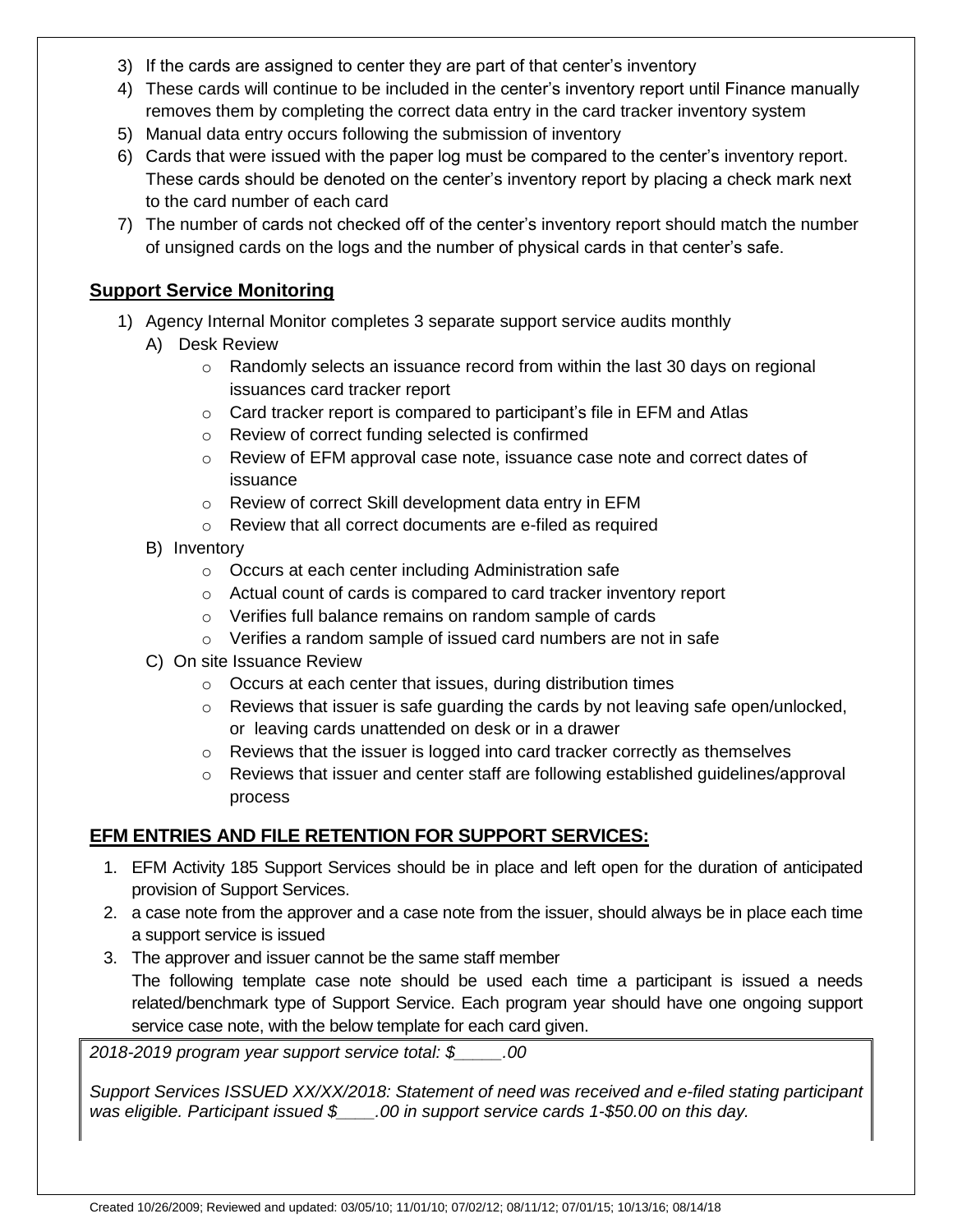- 3) If the cards are assigned to center they are part of that center's inventory
- 4) These cards will continue to be included in the center's inventory report until Finance manually removes them by completing the correct data entry in the card tracker inventory system
- 5) Manual data entry occurs following the submission of inventory
- 6) Cards that were issued with the paper log must be compared to the center's inventory report. These cards should be denoted on the center's inventory report by placing a check mark next to the card number of each card
- 7) The number of cards not checked off of the center's inventory report should match the number of unsigned cards on the logs and the number of physical cards in that center's safe.

#### **Support Service Monitoring**

- 1) Agency Internal Monitor completes 3 separate support service audits monthly
	- A) Desk Review
		- o Randomly selects an issuance record from within the last 30 days on regional issuances card tracker report
		- o Card tracker report is compared to participant's file in EFM and Atlas
		- o Review of correct funding selected is confirmed
		- o Review of EFM approval case note, issuance case note and correct dates of issuance
		- o Review of correct Skill development data entry in EFM
		- o Review that all correct documents are e-filed as required
	- B) Inventory
		- o Occurs at each center including Administration safe
		- o Actual count of cards is compared to card tracker inventory report
		- o Verifies full balance remains on random sample of cards
		- o Verifies a random sample of issued card numbers are not in safe
	- C) On site Issuance Review
		- o Occurs at each center that issues, during distribution times
		- $\circ$  Reviews that issuer is safe guarding the cards by not leaving safe open/unlocked, or leaving cards unattended on desk or in a drawer
		- $\circ$  Reviews that the issuer is logged into card tracker correctly as themselves
		- $\circ$  Reviews that issuer and center staff are following established guidelines/approval process

### **EFM ENTRIES AND FILE RETENTION FOR SUPPORT SERVICES:**

- 1. EFM Activity 185 Support Services should be in place and left open for the duration of anticipated provision of Support Services.
- 2. a case note from the approver and a case note from the issuer, should always be in place each time a support service is issued
- 3. The approver and issuer cannot be the same staff member The following template case note should be used each time a participant is issued a needs related/benchmark type of Support Service. Each program year should have one ongoing support service case note, with the below template for each card given.

*2018-2019 program year support service total: \$\_\_\_\_\_.00*

*Support Services ISSUED XX/XX/2018: Statement of need was received and e-filed stating participant was eligible. Participant issued \$\_\_\_\_.00 in support service cards 1-\$50.00 on this day.*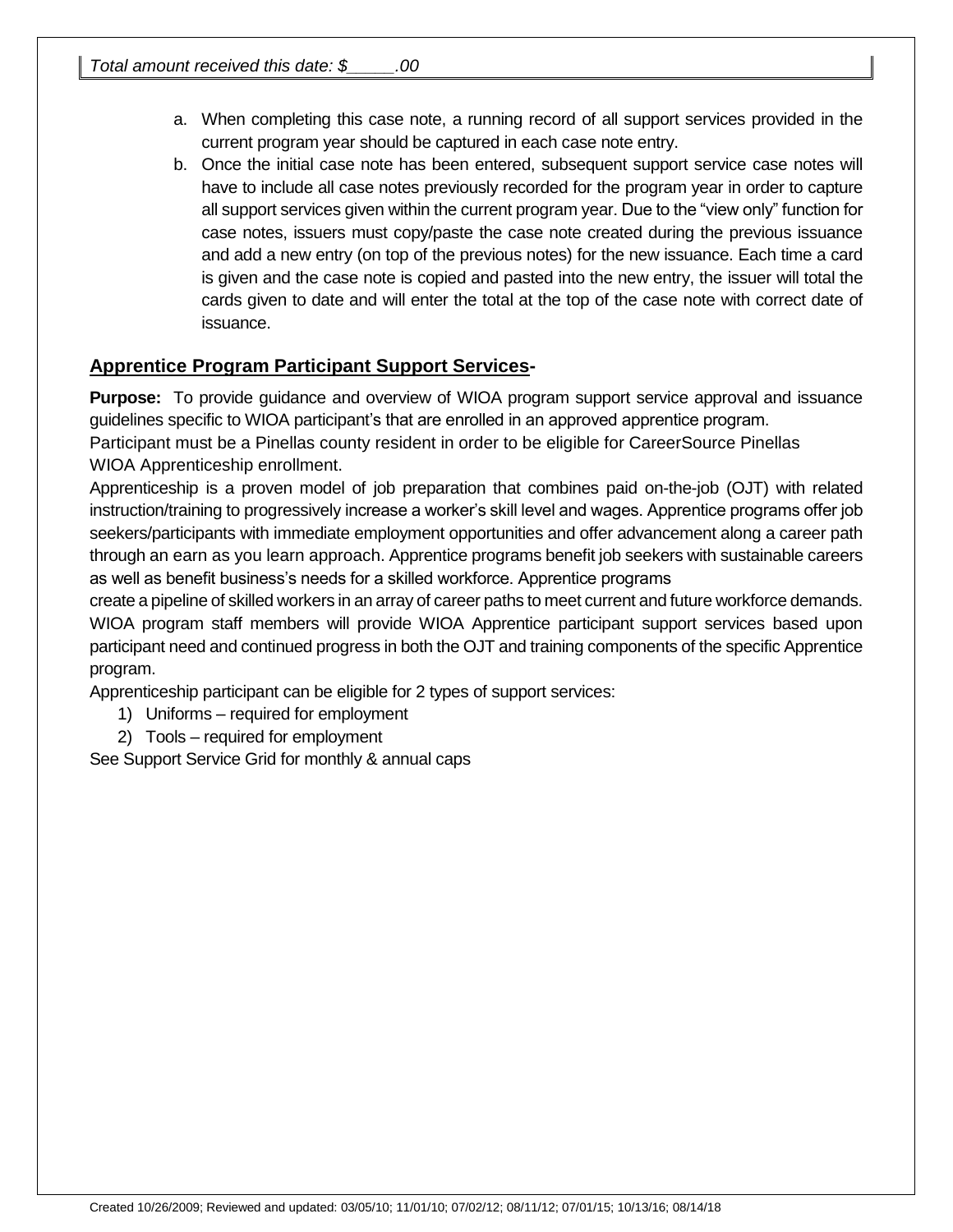- a. When completing this case note, a running record of all support services provided in the current program year should be captured in each case note entry.
- b. Once the initial case note has been entered, subsequent support service case notes will have to include all case notes previously recorded for the program year in order to capture all support services given within the current program year. Due to the "view only" function for case notes, issuers must copy/paste the case note created during the previous issuance and add a new entry (on top of the previous notes) for the new issuance. Each time a card is given and the case note is copied and pasted into the new entry, the issuer will total the cards given to date and will enter the total at the top of the case note with correct date of issuance.

### **Apprentice Program Participant Support Services-**

**Purpose:** To provide guidance and overview of WIOA program support service approval and issuance guidelines specific to WIOA participant's that are enrolled in an approved apprentice program. Participant must be a Pinellas county resident in order to be eligible for CareerSource Pinellas

WIOA Apprenticeship enrollment.

Apprenticeship is a proven model of job preparation that combines paid on-the-job (OJT) with related instruction/training to progressively increase a worker's skill level and wages. Apprentice programs offer job seekers/participants with immediate employment opportunities and offer advancement along a career path through an earn as you learn approach. Apprentice programs benefit job seekers with sustainable careers as well as benefit business's needs for a skilled workforce. Apprentice programs

create a pipeline of skilled workers in an array of career paths to meet current and future workforce demands. WIOA program staff members will provide WIOA Apprentice participant support services based upon participant need and continued progress in both the OJT and training components of the specific Apprentice program.

Apprenticeship participant can be eligible for 2 types of support services:

- 1) Uniforms required for employment
- 2) Tools required for employment

See Support Service Grid for monthly & annual caps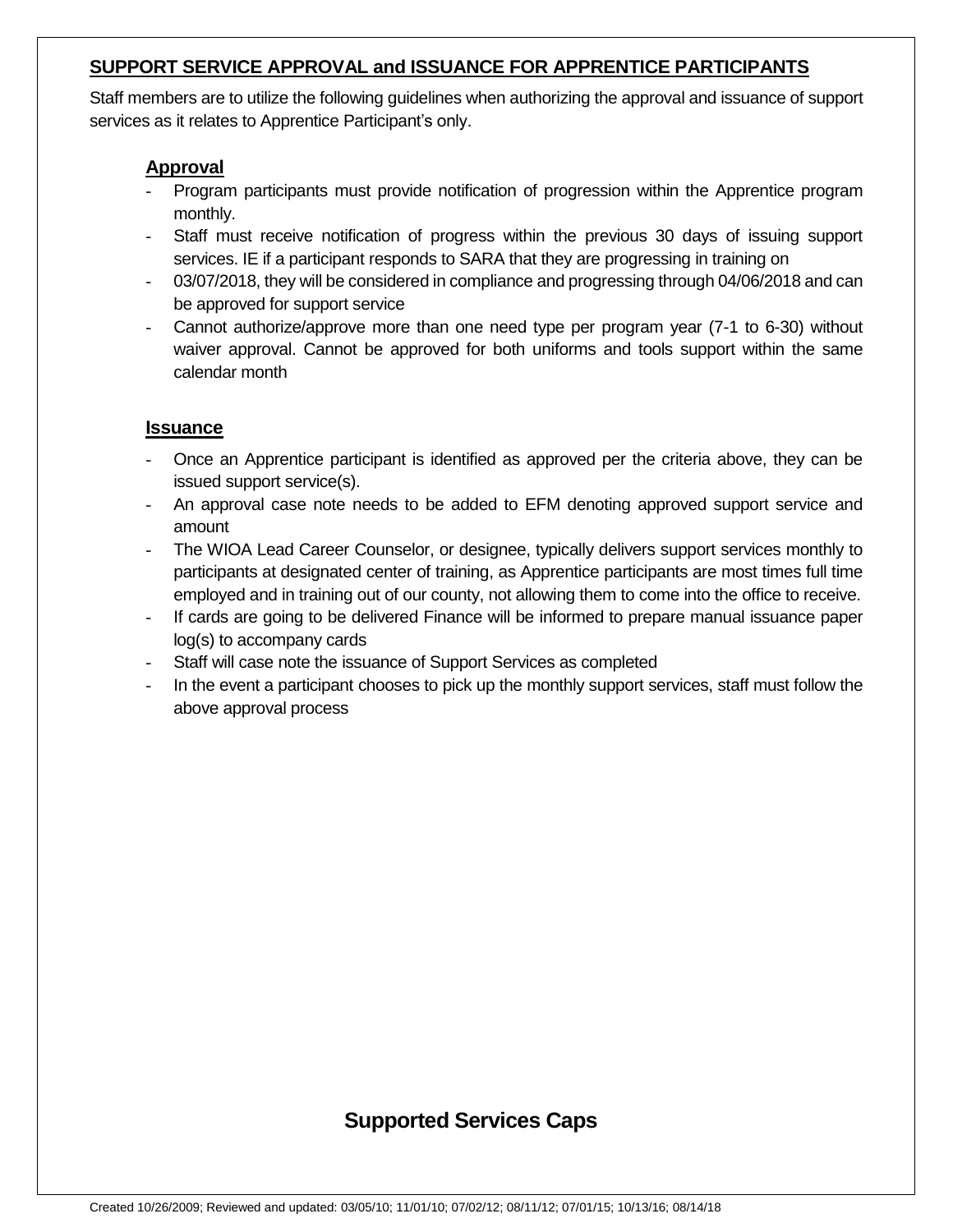### **SUPPORT SERVICE APPROVAL and ISSUANCE FOR APPRENTICE PARTICIPANTS**

Staff members are to utilize the following guidelines when authorizing the approval and issuance of support services as it relates to Apprentice Participant's only.

### **Approval**

- Program participants must provide notification of progression within the Apprentice program monthly.
- Staff must receive notification of progress within the previous 30 days of issuing support services. IE if a participant responds to SARA that they are progressing in training on
- 03/07/2018, they will be considered in compliance and progressing through 04/06/2018 and can be approved for support service
- Cannot authorize/approve more than one need type per program year (7-1 to 6-30) without waiver approval. Cannot be approved for both uniforms and tools support within the same calendar month

#### **Issuance**

- Once an Apprentice participant is identified as approved per the criteria above, they can be issued support service(s).
- An approval case note needs to be added to EFM denoting approved support service and amount
- The WIOA Lead Career Counselor, or designee, typically delivers support services monthly to participants at designated center of training, as Apprentice participants are most times full time employed and in training out of our county, not allowing them to come into the office to receive.
- If cards are going to be delivered Finance will be informed to prepare manual issuance paper log(s) to accompany cards
- Staff will case note the issuance of Support Services as completed
- In the event a participant chooses to pick up the monthly support services, staff must follow the above approval process

## **Supported Services Caps**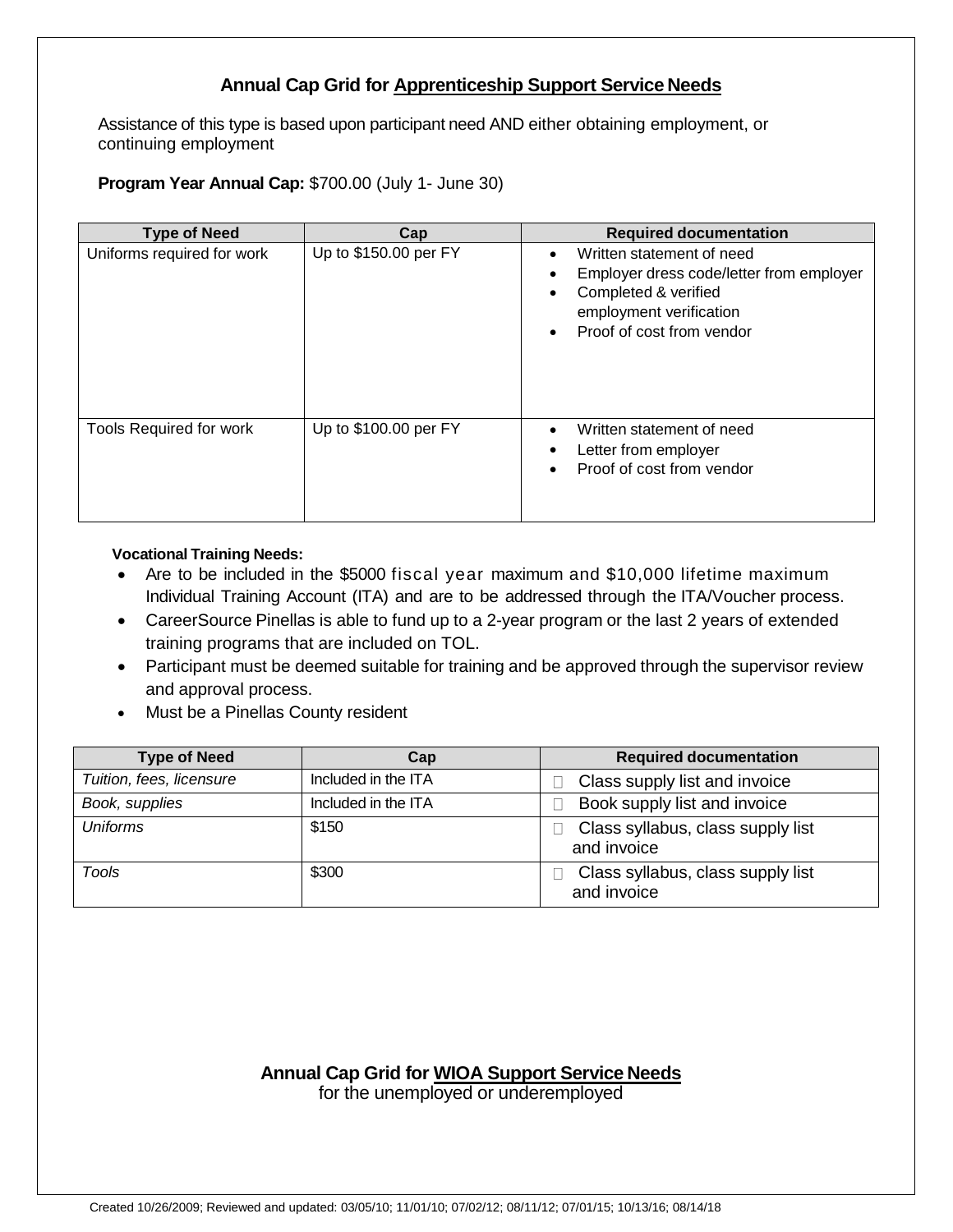### **Annual Cap Grid for Apprenticeship Support Service Needs**

Assistance of this type is based upon participant need AND either obtaining employment, or continuing employment

**Program Year Annual Cap:** \$700.00 (July 1- June 30)

| <b>Type of Need</b>            | Cap                   | <b>Required documentation</b>                                                                                                                                                   |
|--------------------------------|-----------------------|---------------------------------------------------------------------------------------------------------------------------------------------------------------------------------|
| Uniforms required for work     | Up to \$150.00 per FY | Written statement of need<br>$\bullet$<br>Employer dress code/letter from employer<br>Completed & verified<br>employment verification<br>Proof of cost from vendor<br>$\bullet$ |
| <b>Tools Required for work</b> | Up to \$100.00 per FY | Written statement of need<br>$\bullet$<br>Letter from employer<br>Proof of cost from vendor                                                                                     |

#### **Vocational Training Needs:**

- Are to be included in the \$5000 fiscal year maximum and \$10,000 lifetime maximum Individual Training Account (ITA) and are to be addressed through the ITA/Voucher process.
- CareerSource Pinellas is able to fund up to a 2-year program or the last 2 years of extended training programs that are included on TOL.
- Participant must be deemed suitable for training and be approved through the supervisor review and approval process.
- Must be a Pinellas County resident

| <b>Type of Need</b>      | Cap                 | <b>Required documentation</b>                    |
|--------------------------|---------------------|--------------------------------------------------|
| Tuition, fees, licensure | Included in the ITA | Class supply list and invoice                    |
| Book, supplies           | Included in the ITA | Book supply list and invoice                     |
| <b>Uniforms</b>          | \$150               | Class syllabus, class supply list<br>and invoice |
| Tools                    | \$300               | Class syllabus, class supply list<br>and invoice |

#### **Annual Cap Grid for WIOA Support Service Needs**

for the unemployed or underemployed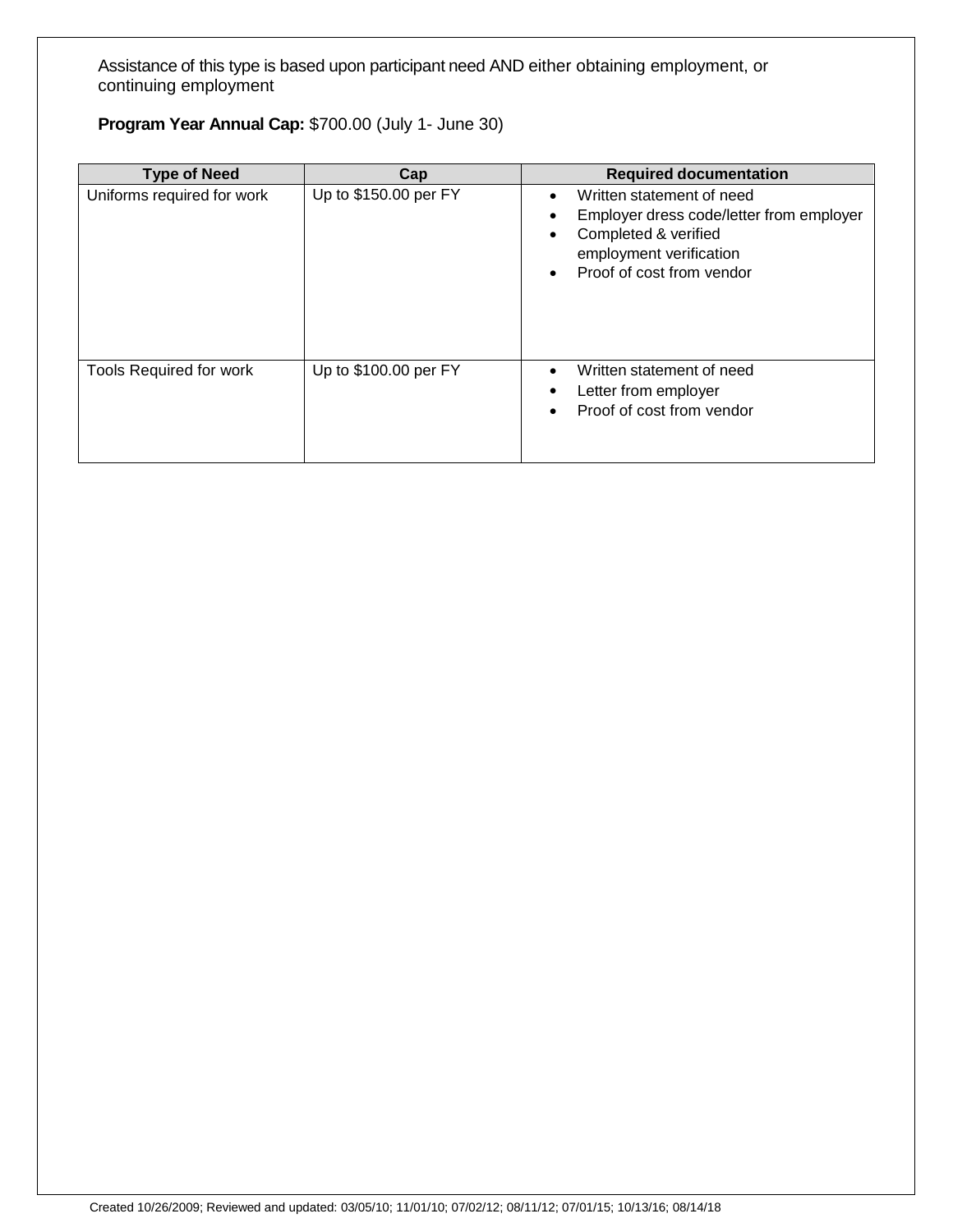Assistance of this type is based upon participant need AND either obtaining employment, or continuing employment

## **Program Year Annual Cap:** \$700.00 (July 1- June 30)

| <b>Type of Need</b>            | Cap                   | <b>Required documentation</b>                                                                                                                                                                             |
|--------------------------------|-----------------------|-----------------------------------------------------------------------------------------------------------------------------------------------------------------------------------------------------------|
| Uniforms required for work     | Up to \$150.00 per FY | Written statement of need<br>$\bullet$<br>Employer dress code/letter from employer<br>$\bullet$<br>Completed & verified<br>$\bullet$<br>employment verification<br>Proof of cost from vendor<br>$\bullet$ |
| <b>Tools Required for work</b> | Up to \$100.00 per FY | Written statement of need<br>$\bullet$<br>Letter from employer<br>٠<br>Proof of cost from vendor<br>$\bullet$                                                                                             |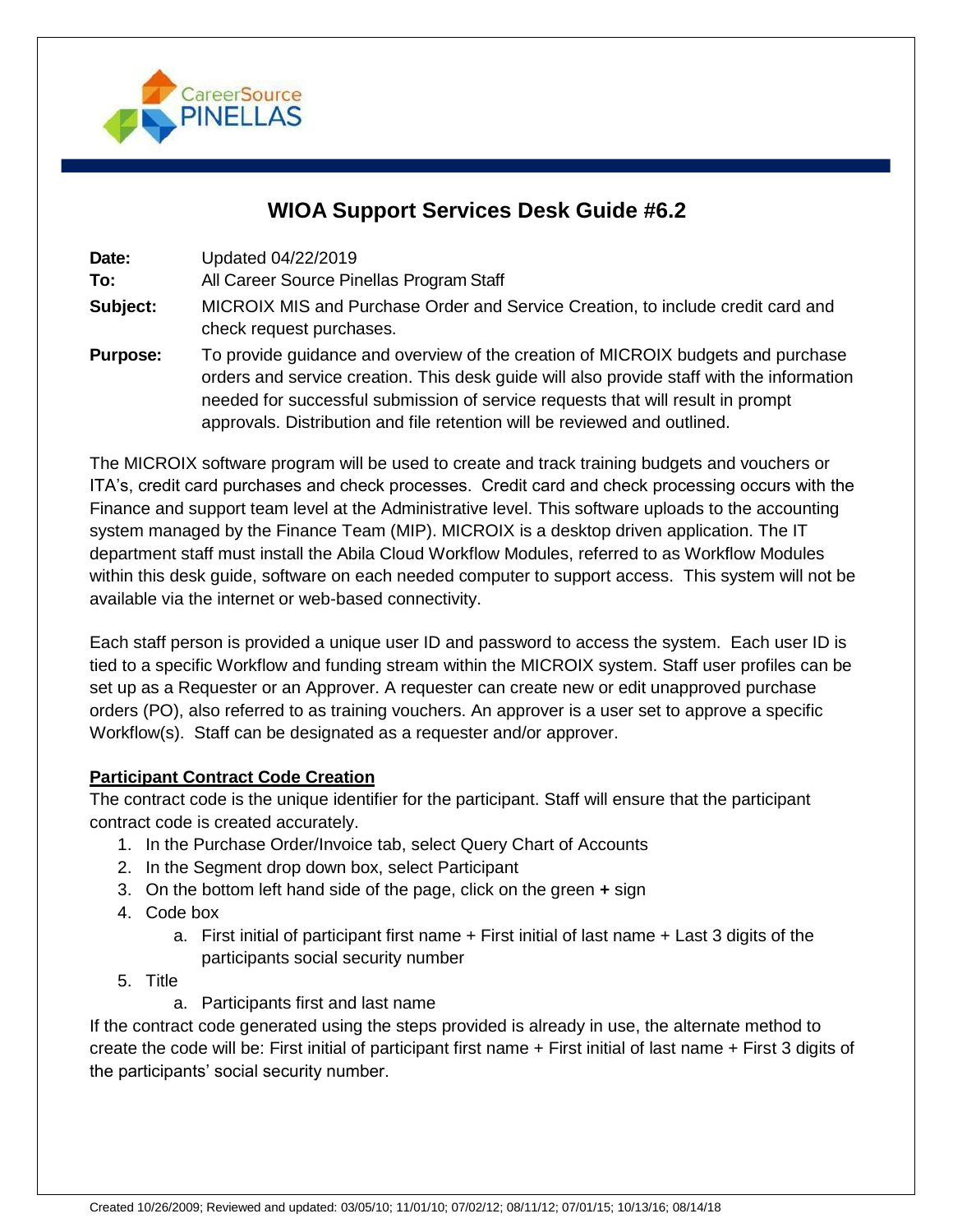

## **WIOA Support Services Desk Guide #6.2**

**Date:** Updated 04/22/2019

**To:** All Career Source Pinellas Program Staff

- **Subject:** MICROIX MIS and Purchase Order and Service Creation, to include credit card and check request purchases.
- **Purpose:** To provide guidance and overview of the creation of MICROIX budgets and purchase orders and service creation. This desk guide will also provide staff with the information needed for successful submission of service requests that will result in prompt approvals. Distribution and file retention will be reviewed and outlined.

The MICROIX software program will be used to create and track training budgets and vouchers or ITA's, credit card purchases and check processes. Credit card and check processing occurs with the Finance and support team level at the Administrative level. This software uploads to the accounting system managed by the Finance Team (MIP). MICROIX is a desktop driven application. The IT department staff must install the Abila Cloud Workflow Modules, referred to as Workflow Modules within this desk guide, software on each needed computer to support access. This system will not be available via the internet or web-based connectivity.

Each staff person is provided a unique user ID and password to access the system. Each user ID is tied to a specific Workflow and funding stream within the MICROIX system. Staff user profiles can be set up as a Requester or an Approver. A requester can create new or edit unapproved purchase orders (PO), also referred to as training vouchers. An approver is a user set to approve a specific Workflow(s). Staff can be designated as a requester and/or approver.

#### **Participant Contract Code Creation**

The contract code is the unique identifier for the participant. Staff will ensure that the participant contract code is created accurately.

- 1. In the Purchase Order/Invoice tab, select Query Chart of Accounts
- 2. In the Segment drop down box, select Participant
- 3. On the bottom left hand side of the page, click on the green **+** sign
- 4. Code box
	- a. First initial of participant first name + First initial of last name + Last 3 digits of the participants social security number
- 5. Title
	- a. Participants first and last name

If the contract code generated using the steps provided is already in use, the alternate method to create the code will be: First initial of participant first name + First initial of last name + First 3 digits of the participants' social security number.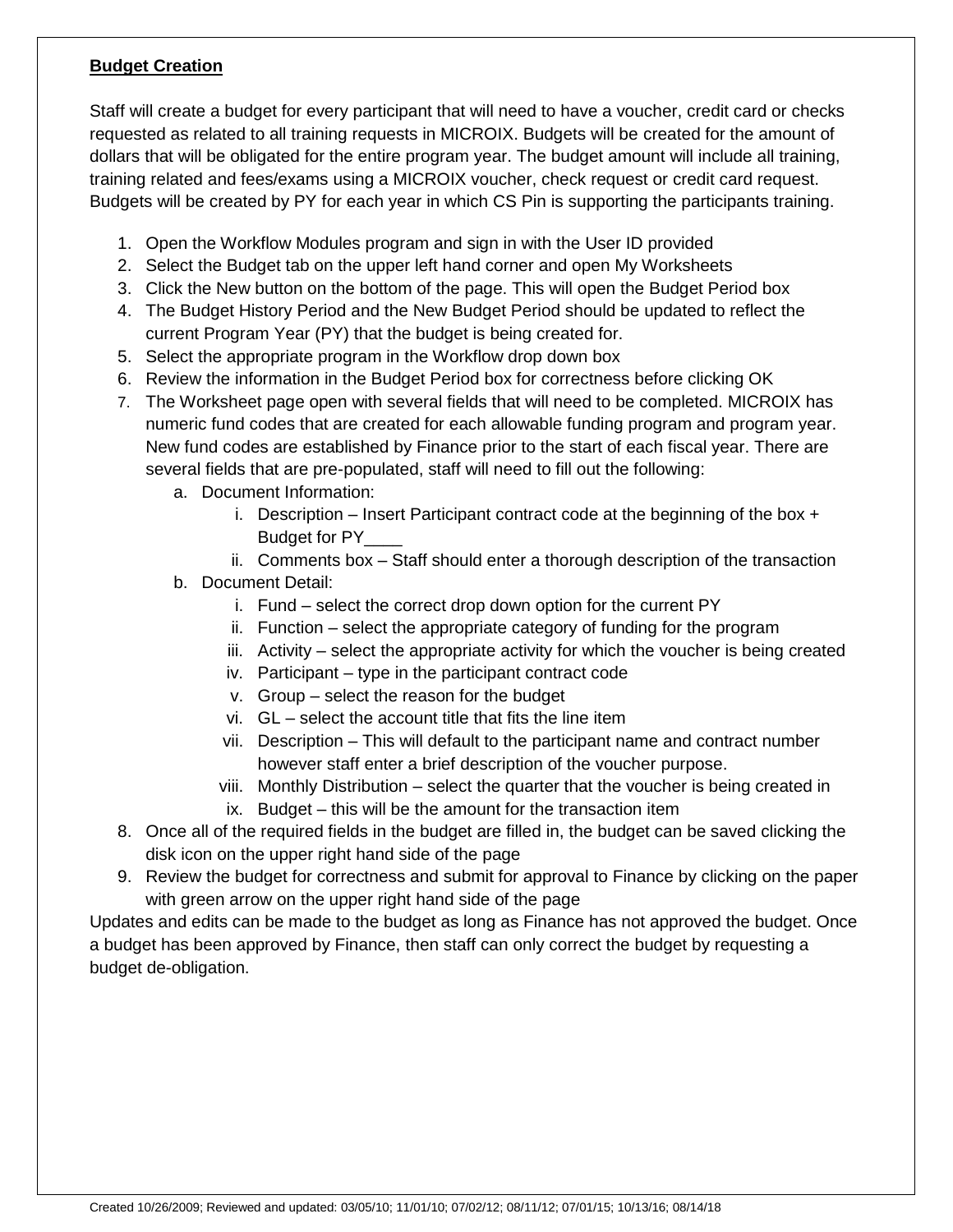#### **Budget Creation**

Staff will create a budget for every participant that will need to have a voucher, credit card or checks requested as related to all training requests in MICROIX. Budgets will be created for the amount of dollars that will be obligated for the entire program year. The budget amount will include all training, training related and fees/exams using a MICROIX voucher, check request or credit card request. Budgets will be created by PY for each year in which CS Pin is supporting the participants training.

- 1. Open the Workflow Modules program and sign in with the User ID provided
- 2. Select the Budget tab on the upper left hand corner and open My Worksheets
- 3. Click the New button on the bottom of the page. This will open the Budget Period box
- 4. The Budget History Period and the New Budget Period should be updated to reflect the current Program Year (PY) that the budget is being created for.
- 5. Select the appropriate program in the Workflow drop down box
- 6. Review the information in the Budget Period box for correctness before clicking OK
- 7. The Worksheet page open with several fields that will need to be completed. MICROIX has numeric fund codes that are created for each allowable funding program and program year. New fund codes are established by Finance prior to the start of each fiscal year. There are several fields that are pre-populated, staff will need to fill out the following:
	- a. Document Information:
		- i. Description Insert Participant contract code at the beginning of the box  $+$ Budget for PY\_\_\_\_
		- ii. Comments box Staff should enter a thorough description of the transaction
	- b. Document Detail:
		- i. Fund select the correct drop down option for the current PY
		- ii. Function select the appropriate category of funding for the program
		- iii. Activity select the appropriate activity for which the voucher is being created
		- iv. Participant type in the participant contract code
		- v. Group select the reason for the budget
		- vi. GL select the account title that fits the line item
		- vii. Description This will default to the participant name and contract number however staff enter a brief description of the voucher purpose.
		- viii. Monthly Distribution select the quarter that the voucher is being created in
		- ix. Budget this will be the amount for the transaction item
- 8. Once all of the required fields in the budget are filled in, the budget can be saved clicking the disk icon on the upper right hand side of the page
- 9. Review the budget for correctness and submit for approval to Finance by clicking on the paper with green arrow on the upper right hand side of the page

Updates and edits can be made to the budget as long as Finance has not approved the budget. Once a budget has been approved by Finance, then staff can only correct the budget by requesting a budget de-obligation.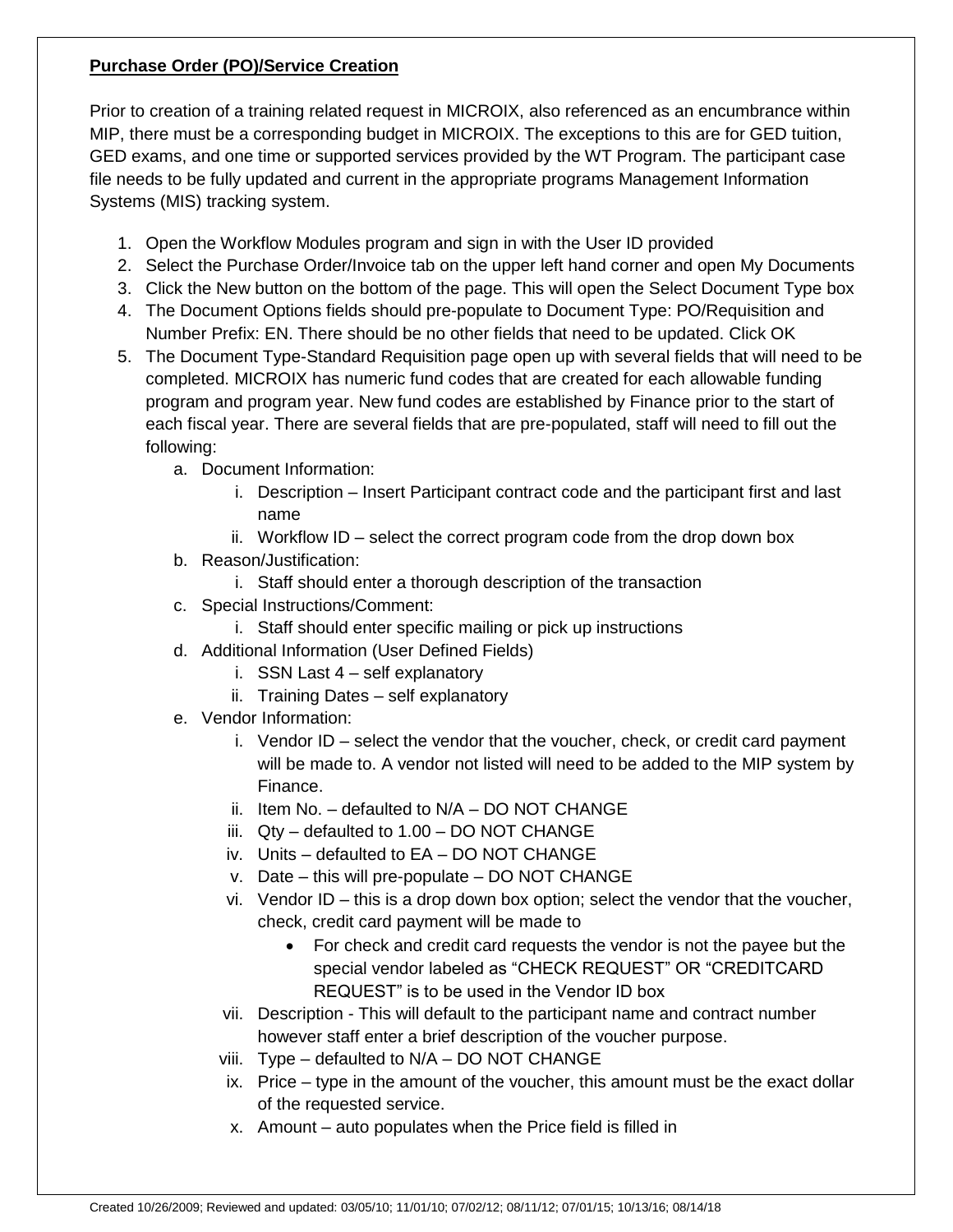#### **Purchase Order (PO)/Service Creation**

Prior to creation of a training related request in MICROIX, also referenced as an encumbrance within MIP, there must be a corresponding budget in MICROIX. The exceptions to this are for GED tuition, GED exams, and one time or supported services provided by the WT Program. The participant case file needs to be fully updated and current in the appropriate programs Management Information Systems (MIS) tracking system.

- 1. Open the Workflow Modules program and sign in with the User ID provided
- 2. Select the Purchase Order/Invoice tab on the upper left hand corner and open My Documents
- 3. Click the New button on the bottom of the page. This will open the Select Document Type box
- 4. The Document Options fields should pre-populate to Document Type: PO/Requisition and Number Prefix: EN. There should be no other fields that need to be updated. Click OK
- 5. The Document Type-Standard Requisition page open up with several fields that will need to be completed. MICROIX has numeric fund codes that are created for each allowable funding program and program year. New fund codes are established by Finance prior to the start of each fiscal year. There are several fields that are pre-populated, staff will need to fill out the following:
	- a. Document Information:
		- i. Description Insert Participant contract code and the participant first and last name
		- ii. Workflow ID select the correct program code from the drop down box
	- b. Reason/Justification:
		- i. Staff should enter a thorough description of the transaction
	- c. Special Instructions/Comment:
		- i. Staff should enter specific mailing or pick up instructions
	- d. Additional Information (User Defined Fields)
		- i. SSN Last 4 self explanatory
		- ii. Training Dates self explanatory
	- e. Vendor Information:
		- i. Vendor ID select the vendor that the voucher, check, or credit card payment will be made to. A vendor not listed will need to be added to the MIP system by Finance.
		- ii. Item No. defaulted to N/A DO NOT CHANGE
		- iii. Qty defaulted to 1.00 DO NOT CHANGE
		- iv. Units defaulted to EA DO NOT CHANGE
		- v. Date this will pre-populate DO NOT CHANGE
		- vi. Vendor ID this is a drop down box option; select the vendor that the voucher, check, credit card payment will be made to
			- For check and credit card requests the vendor is not the payee but the special vendor labeled as "CHECK REQUEST" OR "CREDITCARD REQUEST" is to be used in the Vendor ID box
		- vii. Description This will default to the participant name and contract number however staff enter a brief description of the voucher purpose.
		- viii. Type defaulted to N/A DO NOT CHANGE
		- ix. Price type in the amount of the voucher, this amount must be the exact dollar of the requested service.
		- x. Amount auto populates when the Price field is filled in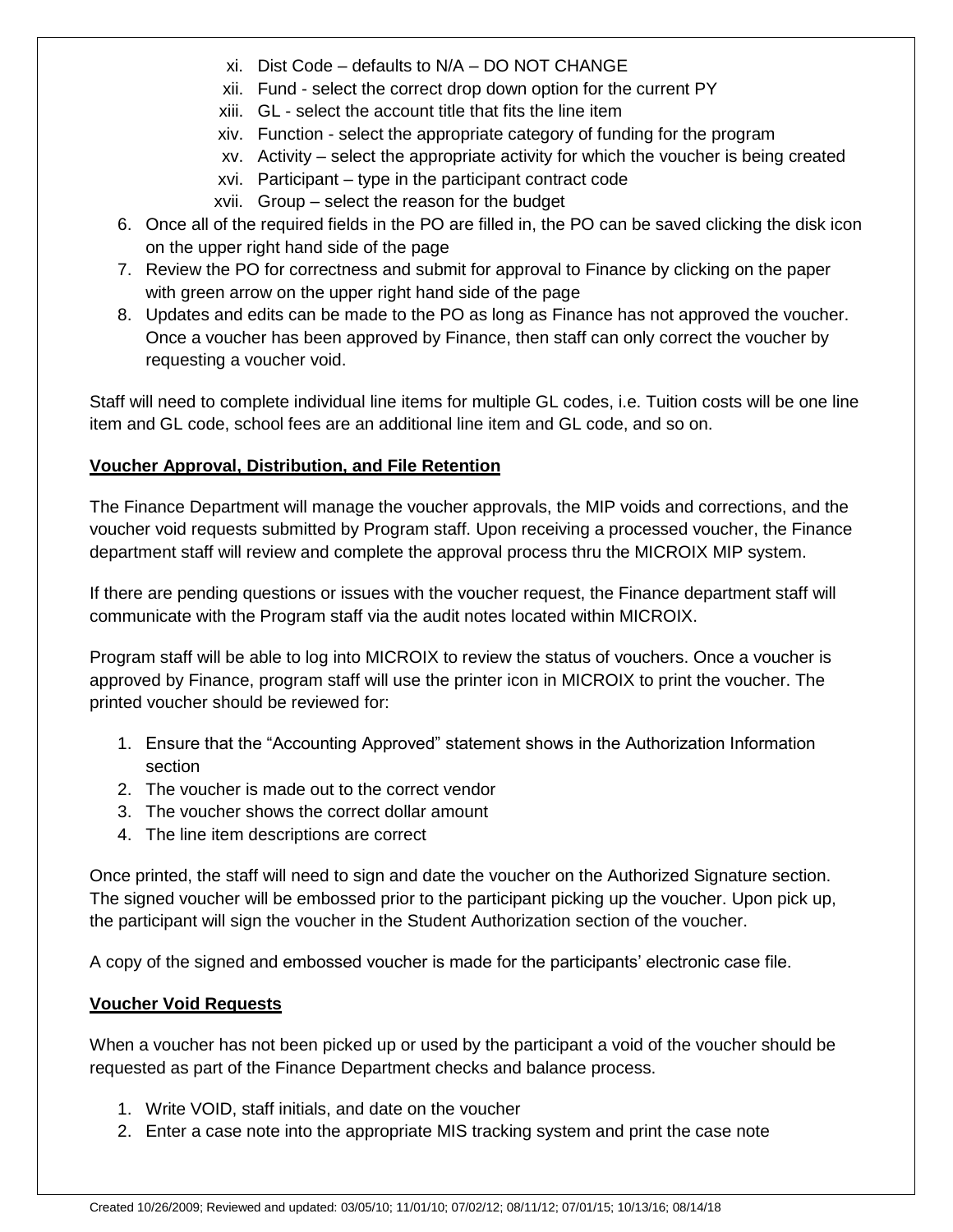- xi. Dist Code defaults to N/A DO NOT CHANGE
- xii. Fund select the correct drop down option for the current PY
- xiii. GL select the account title that fits the line item
- xiv. Function select the appropriate category of funding for the program
- xv. Activity select the appropriate activity for which the voucher is being created
- xvi. Participant type in the participant contract code
- xvii. Group select the reason for the budget
- 6. Once all of the required fields in the PO are filled in, the PO can be saved clicking the disk icon on the upper right hand side of the page
- 7. Review the PO for correctness and submit for approval to Finance by clicking on the paper with green arrow on the upper right hand side of the page
- 8. Updates and edits can be made to the PO as long as Finance has not approved the voucher. Once a voucher has been approved by Finance, then staff can only correct the voucher by requesting a voucher void.

Staff will need to complete individual line items for multiple GL codes, i.e. Tuition costs will be one line item and GL code, school fees are an additional line item and GL code, and so on.

#### **Voucher Approval, Distribution, and File Retention**

The Finance Department will manage the voucher approvals, the MIP voids and corrections, and the voucher void requests submitted by Program staff. Upon receiving a processed voucher, the Finance department staff will review and complete the approval process thru the MICROIX MIP system.

If there are pending questions or issues with the voucher request, the Finance department staff will communicate with the Program staff via the audit notes located within MICROIX.

Program staff will be able to log into MICROIX to review the status of vouchers. Once a voucher is approved by Finance, program staff will use the printer icon in MICROIX to print the voucher. The printed voucher should be reviewed for:

- 1. Ensure that the "Accounting Approved" statement shows in the Authorization Information section
- 2. The voucher is made out to the correct vendor
- 3. The voucher shows the correct dollar amount
- 4. The line item descriptions are correct

Once printed, the staff will need to sign and date the voucher on the Authorized Signature section. The signed voucher will be embossed prior to the participant picking up the voucher. Upon pick up, the participant will sign the voucher in the Student Authorization section of the voucher.

A copy of the signed and embossed voucher is made for the participants' electronic case file.

#### **Voucher Void Requests**

When a voucher has not been picked up or used by the participant a void of the voucher should be requested as part of the Finance Department checks and balance process.

- 1. Write VOID, staff initials, and date on the voucher
- 2. Enter a case note into the appropriate MIS tracking system and print the case note